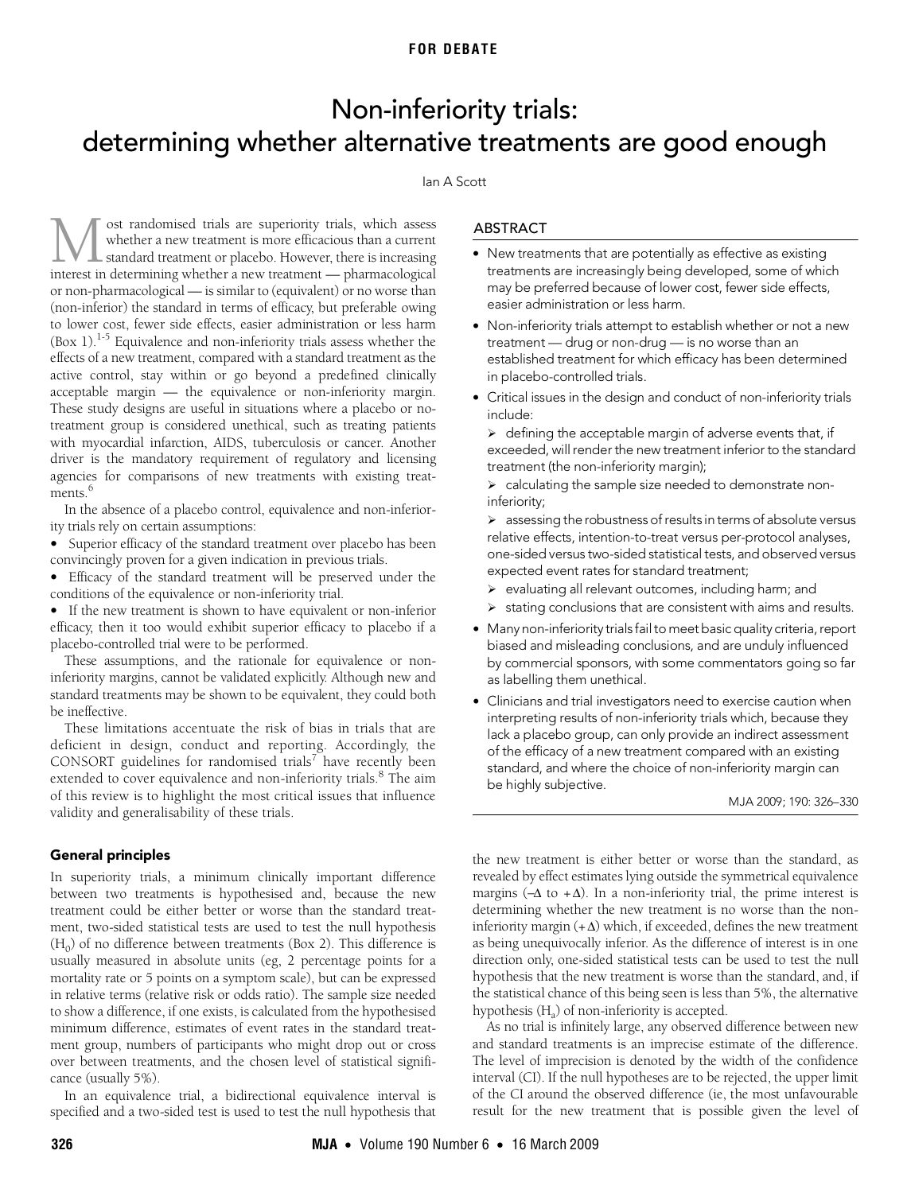# **FOR DEBATE**

# <span id="page-0-0"></span>Non-inferiority trials: determining whether alternative treatments are good enough

## Ian A Scott

(box 1). Equivalence and non-interiority that assess whether the<br>effects of a new treatment, comp[ared](#page-0-0) [with](#page-4-5) a standard treatment as the  $\sigma$  or a new treatment, compared with active control, stay within or go beyond a predefined clinically acceptable margin — the equivalence or non-inferiority margin. These study designs are useful in situations where a placebo or noost randomised trials are superiority trials, which assess whether a new treatment is more efficacious than a current standard treatment or placebo. However, there is increasing **interest in determining** whether a new treatment is more efficacious than a current standard treatment or placebo. However, there is increasing interest in determining whether a new treatment — pharmacological or non-pharmacological — is similar to (equivalent) or no worse than (non-inferior) the standard in terms of efficacy, but preferable owing to lower cost, fewer side effects, easier administration or less harm  $(Box 1).<sup>1-5</sup>$  $(Box 1).<sup>1-5</sup>$  $(Box 1).<sup>1-5</sup>$  Equivalence and non-inferiority trials assess whether the treatment group is considered unethical, such as treating patients with myocardial infarction, AIDS, tuberculosis or cancer. Another driver is the mandatory requirement of regulatory and licensing agencies for comparisons of new treatments with existing treat-ments.<sup>[6](#page-4-2)</sup>

In the absence of a placebo control, equivalence and non-inferiority trials rely on certain assumptions:

• Superior efficacy of the standard treatment over placebo has been convincingly proven for a given indication in previous trials.

• Efficacy of the standard treatment will be preserved under the conditions of the equivalence or non-inferiority trial.

• If the new treatment is shown to have equivalent or non-inferior efficacy, then it too would exhibit superior efficacy to placebo if a placebo-controlled trial were to be performed.

These assumptions, and the rationale for equivalence or noninferiority margins, cannot be validated explicitly. Although new and standard treatments may be shown to be equivalent, they could both be ineffective.

These limitations accentuate the risk of bias in trials that are deficient in design, conduct and reporting. Accordingly, the CONSORT guidelines for randomised trials<sup>[7](#page-4-3)</sup> have recently been extended to cover equivalence and non-inferiority trials.<sup>8</sup> The aim of this review is to highlight the most critical issues that influence validity and generalisability of these trials.

## General principles

In superiority trials, a minimum clinically important difference between two treatments is hypothesised and, because the new treatment could be either better or worse than the standard treatment, two-sided statistical tests are used to test the null hypothesis  $(H_0)$  of no difference between treatments (Box 2). This difference is usually measured in absolute units (eg, 2 percentage points for a mortality rate or 5 points on a symptom scale), but can be expressed in relative terms (relative risk or odds ratio). The sample size needed to show a difference, if one exists, is calculated from the hypothesised minimum difference, estimates of event rates in the standard treatment group, numbers of participants who might drop out or cross over between treatments, and the chosen level of statistical significance (usually 5%).

In an equivalence trial, a bidirectional equivalence interval is specified and a two-sided test is used to test the null hypothesis that

# ABSTRACT

- New treatments that are potentially as effective as existing treatments are increasingly being developed, some of which may be preferred because of lower cost, fewer side effects, easier administration or less harm.
- Non-inferiority trials attempt to establish whether or not a new treatment — drug or non-drug — is no worse than an established treatment for which efficacy has been determined in placebo-controlled trials.
- Critical issues in the design and conduct of non-inferiority trials include:

 $\triangleright$  defining the acceptable margin of adverse events that, if exceeded, will render the new treatment inferior to the standard treatment (the non-inferiority margin);

¾ calculating the sample size needed to demonstrate noninferiority;

 $\triangleright$  assessing the robustness of results in terms of absolute versus relative effects, intention-to-treat versus per-protocol analyses, one-sided versus two-sided statistical tests, and observed versus expected event rates for standard treatment;

- ¾ evaluating all relevant outcomes, including harm; and
- $\triangleright$  stating conclusions that are consistent with aims and results.
- Many non-inferiority trials fail to meet basic quality criteria, report biased and misleading conclusions, and are unduly influenced by commercial sponsors, with some commentators going so far as labelling them unethical.
- Clinicians and trial investigators need to exercise caution when interpreting results of non-inferiority trials which, because they lack a placebo group, can only provide an indirect assessment of the efficacy of a new treatment compared with an existing standard, and where the choice of non-inferiority margin can be highly subjective.

MJA 2009; 190: 326–330

the new treatment is either better or worse than the standard, as revealed by effect estimates lying outside the symmetrical equivalence margins ( $-\Delta$  to + $\Delta$ ). In a non-inferiority trial, the prime interest is determining whether the new treatment is no worse than the noninferiority margin  $(+\Delta)$  which, if exceeded, defines the new treatment as being unequivocally inferior. As the difference of interest is in one direction only, one-sided statistical tests can be used to test the null hypothesis that the new treatment is worse than the standard, and, if the statistical chance of this being seen is less than 5%, the alternative hypothesis  $(H<sub>a</sub>)$  of non-inferiority is accepted.

As no trial is infinitely large, any observed difference between new and standard treatments is an imprecise estimate of the difference. The level of imprecision is denoted by the width of the confidence interval (CI). If the null hypotheses are to be rejected, the upper limit of the CI around the observed difference (ie, the most unfavourable result for the new treatment that is possible given the level of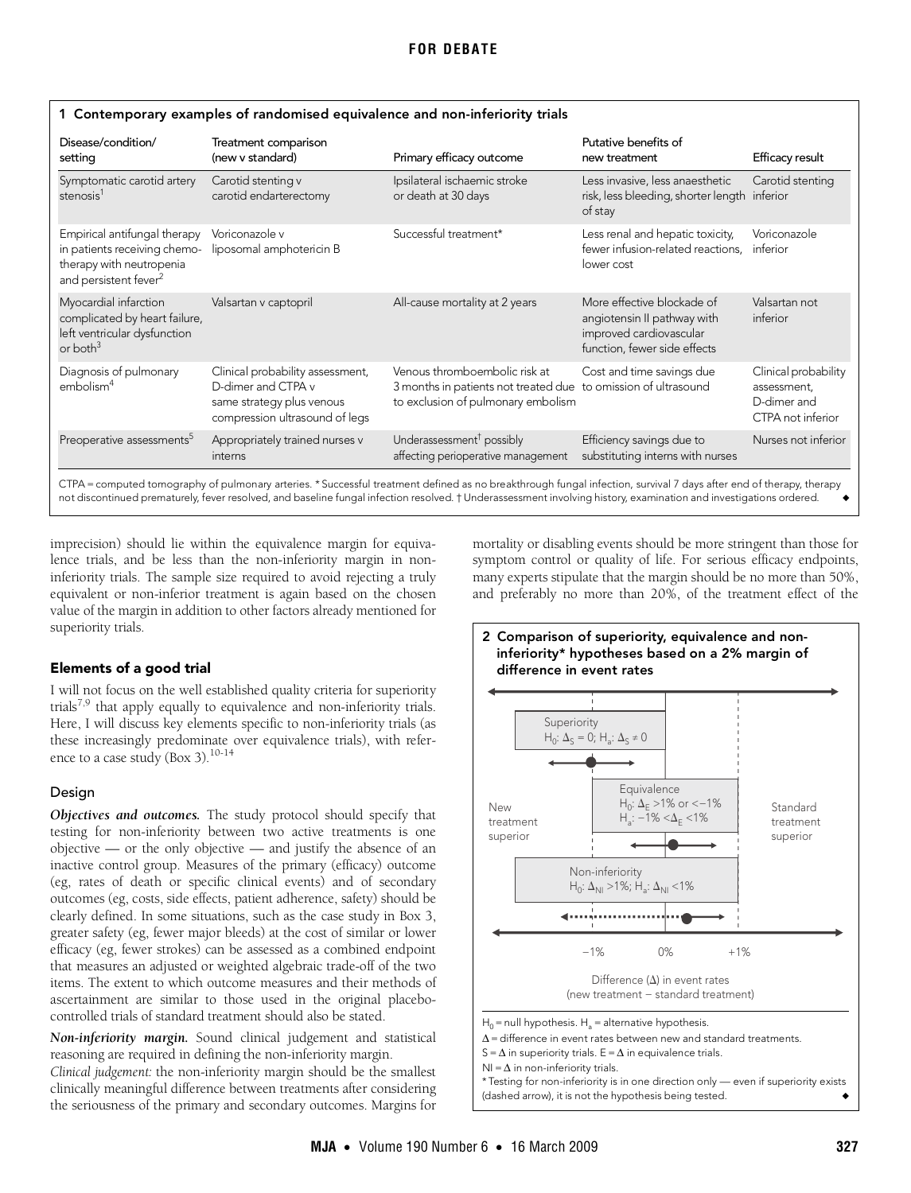| Disease/condition/<br>setting                                                                                                                                       | Treatment comparison<br>(new v standard)                                                                              | Primary efficacy outcome                                                                                                              | Putative benefits of<br>new treatment                                                                                | Efficacy result                                                         |  |  |  |
|---------------------------------------------------------------------------------------------------------------------------------------------------------------------|-----------------------------------------------------------------------------------------------------------------------|---------------------------------------------------------------------------------------------------------------------------------------|----------------------------------------------------------------------------------------------------------------------|-------------------------------------------------------------------------|--|--|--|
| Symptomatic carotid artery<br>stenosis <sup>1</sup>                                                                                                                 | Carotid stenting v<br>carotid endarterectomy                                                                          | Ipsilateral ischaemic stroke<br>or death at 30 days                                                                                   | Less invasive, less anaesthetic<br>risk, less bleeding, shorter length inferior<br>of stay                           | Carotid stenting                                                        |  |  |  |
| Empirical antifungal therapy<br>in patients receiving chemo-<br>therapy with neutropenia<br>and persistent fever <sup>2</sup>                                       | Voriconazole v<br>liposomal amphotericin B                                                                            | Successful treatment*                                                                                                                 | Less renal and hepatic toxicity,<br>fewer infusion-related reactions.<br>lower cost                                  | Voriconazole<br>inferior                                                |  |  |  |
| Myocardial infarction<br>complicated by heart failure,<br>left ventricular dysfunction<br>or both $3$                                                               | Valsartan v captopril                                                                                                 | All-cause mortality at 2 years                                                                                                        | More effective blockade of<br>angiotensin II pathway with<br>improved cardiovascular<br>function, fewer side effects | Valsartan not<br>inferior                                               |  |  |  |
| Diagnosis of pulmonary<br>embolism <sup>4</sup>                                                                                                                     | Clinical probability assessment,<br>D-dimer and CTPA v<br>same strategy plus venous<br>compression ultrasound of legs | Venous thromboembolic risk at<br>3 months in patients not treated due to omission of ultrasound<br>to exclusion of pulmonary embolism | Cost and time savings due                                                                                            | Clinical probability<br>assessment.<br>D-dimer and<br>CTPA not inferior |  |  |  |
| Preoperative assessments <sup>5</sup>                                                                                                                               | Appropriately trained nurses v<br>interns                                                                             | Underassessment <sup>†</sup> possibly<br>affecting perioperative management                                                           | Efficiency savings due to<br>substituting interns with nurses                                                        | Nurses not inferior                                                     |  |  |  |
| CTPA = computed tomography of pulmonary arteries. * Successful treatment defined as no breakthrough fungal infection, survival 7 days after end of therapy, therapy |                                                                                                                       |                                                                                                                                       |                                                                                                                      |                                                                         |  |  |  |

not discontinued prematurely, fever resolved, and baseline fungal infection resolved. † Underassessment involving history, examination and investigations ordered. ◆

## 1 Contemporary examples of randomised equivalence and non-inferiority trials

imprecision) should lie within the equivalence margin for equivalence trials, and be less than the non-inferiority margin in noninferiority trials. The sample size required to avoid rejecting a truly equivalent or non-inferior treatment is again based on the chosen value of the margin in addition to other factors already mentioned for superiority trials.

# Elements of a good trial

I will not focus on the well established quality criteria for superiority trials<sup>[7](#page-4-3),[9](#page-4-6)</sup> that apply equally to equivalence and non-inferiority trials. Here, I will discuss key elements specific to non-inferiority trials (as these increasingly predominate over equivalence trials), with reference to a case study (Box 3). $10-14$  $10-14$ 

# Design

*Objectives and outcomes.* The study protocol should specify that testing for non-inferiority between two active treatments is one objective — or the only objective — and justify the absence of an inactive control group. Measures of the primary (efficacy) outcome (eg, rates of death or specific clinical events) and of secondary outcomes (eg, costs, side effects, patient adherence, safety) should be clearly defined. In some situations, such as the case study in Box 3, greater safety (eg, fewer major bleeds) at the cost of similar or lower efficacy (eg, fewer strokes) can be assessed as a combined endpoint that measures an adjusted or weighted algebraic trade-off of the two items. The extent to which outcome measures and their methods of ascertainment are similar to those used in the original placebocontrolled trials of standard treatment should also be stated.

*Non-inferiority margin.* Sound clinical judgement and statistical reasoning are required in defining the non-inferiority margin.

*Clinical judgement:* the non-inferiority margin should be the smallest clinically meaningful difference between treatments after considering the seriousness of the primary and secondary outcomes. Margins for

mortality or disabling events should be more stringent than those for symptom control or quality of life. For serious efficacy endpoints, many experts stipulate that the margin should be no more than 50%, and preferably no more than 20%, of the treatment effect of the

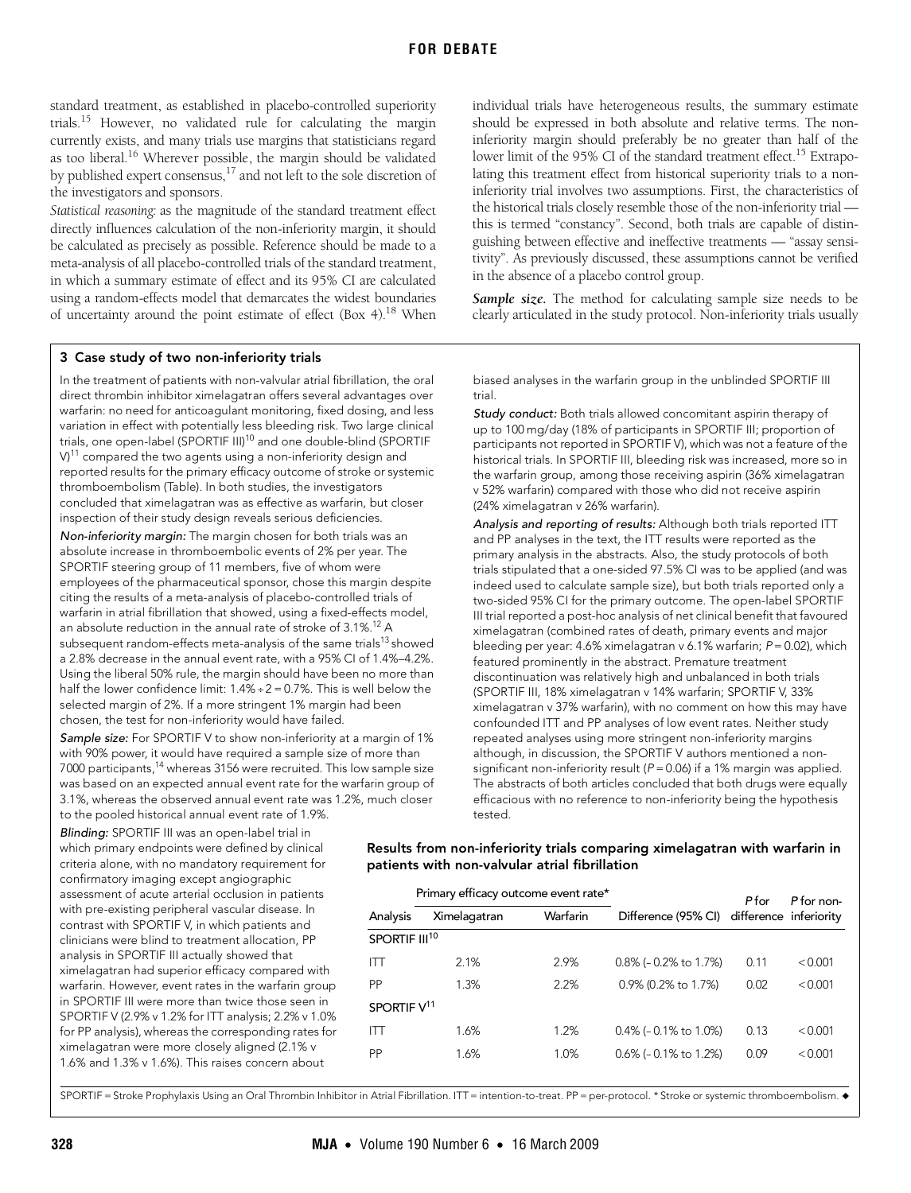standard treatment, as established in placebo-controlled superiority trials.[15](#page-4-9) However, no validated rule for calculating the margin currently exists, and many trials use margins that statisticians regard as too liberal.[16](#page-4-10) Wherever possible, the margin should be validated by published expert consensus,<sup>17</sup> and not left to the sole discretion of the investigators and sponsors.

*Statistical reasoning:* as the magnitude of the standard treatment effect directly influences calculation of the non-inferiority margin, it should be calculated as precisely as possible. Reference should be made to a meta-analysis of all placebo-controlled trials of the standard treatment, in which a summary estimate of effect and its 95% CI are calculated using a random-effects model that demarcates the widest boundaries of uncertainty around the point estimate of effect (Box 4)[.18](#page-4-12) When

#### 3 Case study of two non-inferiority trials

In the treatment of patients with non-valvular atrial fibrillation, the oral direct thrombin inhibitor ximelagatran offers several advantages over warfarin: no need for anticoagulant monitoring, fixed dosing, and less variation in effect with potentially less bleeding risk. Two large clinical trials, one open-label (SPORTIF III)<sup>10</sup> and one double-blind (SPORTIF  $V<sup>11</sup>$  compared the two agents using a non-inferiority design and reported results for the primary efficacy outcome of stroke or systemic thromboembolism (Table). In both studies, the investigators concluded that ximelagatran was as effective as warfarin, but closer inspection of their study design reveals serious deficiencies.

Non-inferiority margin: The margin chosen for both trials was an absolute increase in thromboembolic events of 2% per year. The SPORTIF steering group of 11 members, five of whom were employees of the pharmaceutical sponsor, chose this margin despite citing the results of a meta-analysis of placebo-controlled trials of warfarin in atrial fibrillation that showed, using a fixed-effects model, an absolute reduction in the annual rate of stroke of 3.1%.12 A subsequent random-effects meta-analysis of the same trials<sup>13</sup> showed a 2.8% decrease in the annual event rate, with a 95% CI of 1.4%–4.2%. Using the liberal 50% rule, the margin should have been no more than half the lower confidence limit:  $1.4\% \div 2 = 0.7\%$ . This is well below the selected margin of 2%. If a more stringent 1% margin had been chosen, the test for non-inferiority would have failed.

Sample size: For SPORTIF V to show non-inferiority at a margin of 1% with 90% power, it would have required a sample size of more than 7000 participants,<sup>14</sup> whereas 3156 were recruited. This low sample size was based on an expected annual event rate for the warfarin group of 3.1%, whereas the observed annual event rate was 1.2%, much closer to the pooled historical annual event rate of 1.9%.

Blinding: SPORTIF III was an open-label trial in which primary endpoints were defined by clinical criteria alone, with no mandatory requirement for confirmatory imaging except angiographic assessment of acute arterial occlusion in patients with pre-existing peripheral vascular disease. In contrast with SPORTIF V, in which patients and clinicians were blind to treatment allocation, PP analysis in SPORTIF III actually showed that ximelagatran had superior efficacy compared with warfarin. However, event rates in the warfarin group in SPORTIF III were more than twice those seen in SPORTIF V (2.9% v 1.2% for ITT analysis; 2.2% v 1.0% for PP analysis), whereas the corresponding rates for ximelagatran were more closely aligned (2.1% v 1.6% and 1.3% v 1.6%). This raises concern about

individual trials have heterogeneous results, the summary estimate should be expressed in both absolute and relative terms. The noninferiority margin should preferably be no greater than half of the lower limit of the 95% CI of the standard treatment effect.<sup>15</sup> Extrapolating this treatment effect from historical superiority trials to a noninferiority trial involves two assumptions. First, the characteristics of the historical trials closely resemble those of the non-inferiority trial this is termed "constancy". Second, both trials are capable of distinguishing between effective and ineffective treatments — "assay sensitivity". As previously discussed, these assumptions cannot be verified in the absence of a placebo control group.

Sample size. The method for calculating sample size needs to be clearly articulated in the study protocol. Non-inferiority trials usually

biased analyses in the warfarin group in the unblinded SPORTIF III trial.

Study conduct: Both trials allowed concomitant aspirin therapy of up to 100 mg/day (18% of participants in SPORTIF III; proportion of participants not reported in SPORTIF V), which was not a feature of the historical trials. In SPORTIF III, bleeding risk was increased, more so in the warfarin group, among those receiving aspirin (36% ximelagatran v 52% warfarin) compared with those who did not receive aspirin (24% ximelagatran v 26% warfarin).

Analysis and reporting of results: Although both trials reported ITT and PP analyses in the text, the ITT results were reported as the primary analysis in the abstracts. Also, the study protocols of both trials stipulated that a one-sided 97.5% CI was to be applied (and was indeed used to calculate sample size), but both trials reported only a two-sided 95% CI for the primary outcome. The open-label SPORTIF III trial reported a post-hoc analysis of net clinical benefit that favoured ximelagatran (combined rates of death, primary events and major bleeding per year: 4.6% ximelagatran v 6.1% warfarin; P= 0.02), which featured prominently in the abstract. Premature treatment discontinuation was relatively high and unbalanced in both trials (SPORTIF III, 18% ximelagatran v 14% warfarin; SPORTIF V, 33% ximelagatran v 37% warfarin), with no comment on how this may have confounded ITT and PP analyses of low event rates. Neither study repeated analyses using more stringent non-inferiority margins although, in discussion, the SPORTIF V authors mentioned a nonsignificant non-inferiority result ( $P = 0.06$ ) if a 1% margin was applied. The abstracts of both articles concluded that both drugs were equally efficacious with no reference to non-inferiority being the hypothesis tested.

## Results from non-inferiority trials comparing ximelagatran with warfarin in patients with non-valvular atrial fibrillation

|                           | Primary efficacy outcome event rate* |          |                                            | P for | P for non- |  |  |  |
|---------------------------|--------------------------------------|----------|--------------------------------------------|-------|------------|--|--|--|
| Analysis                  | Ximelagatran                         | Warfarin | Difference (95% CI) difference inferiority |       |            |  |  |  |
| SPORTIF III <sup>10</sup> |                                      |          |                                            |       |            |  |  |  |
| IП                        | 2.1%                                 | 2.9%     | $0.8\%$ (- 0.2% to 1.7%)                   | 0.11  | < 0.001    |  |  |  |
| PP                        | 1.3%                                 | 2.2%     | 0.9% (0.2% to 1.7%)                        | 0.02  | < 0.001    |  |  |  |
| SPORTIF V <sup>11</sup>   |                                      |          |                                            |       |            |  |  |  |
| ITT                       | 1.6%                                 | 1.2%     | $0.4\%$ (- 0.1% to 1.0%)                   | 0.13  | < 0.001    |  |  |  |
| PP                        | 1.6%                                 | 1.0%     | $0.6\%$ (- 0.1% to 1.2%)                   | 0.09  | < 0.001    |  |  |  |
|                           |                                      |          |                                            |       |            |  |  |  |

SPORTIF = Stroke Prophylaxis Using an Oral Thrombin Inhibitor in Atrial Fibrillation. ITT = intention-to-treat. PP = per-protocol. \* Stroke or systemic thromboembolism. ◆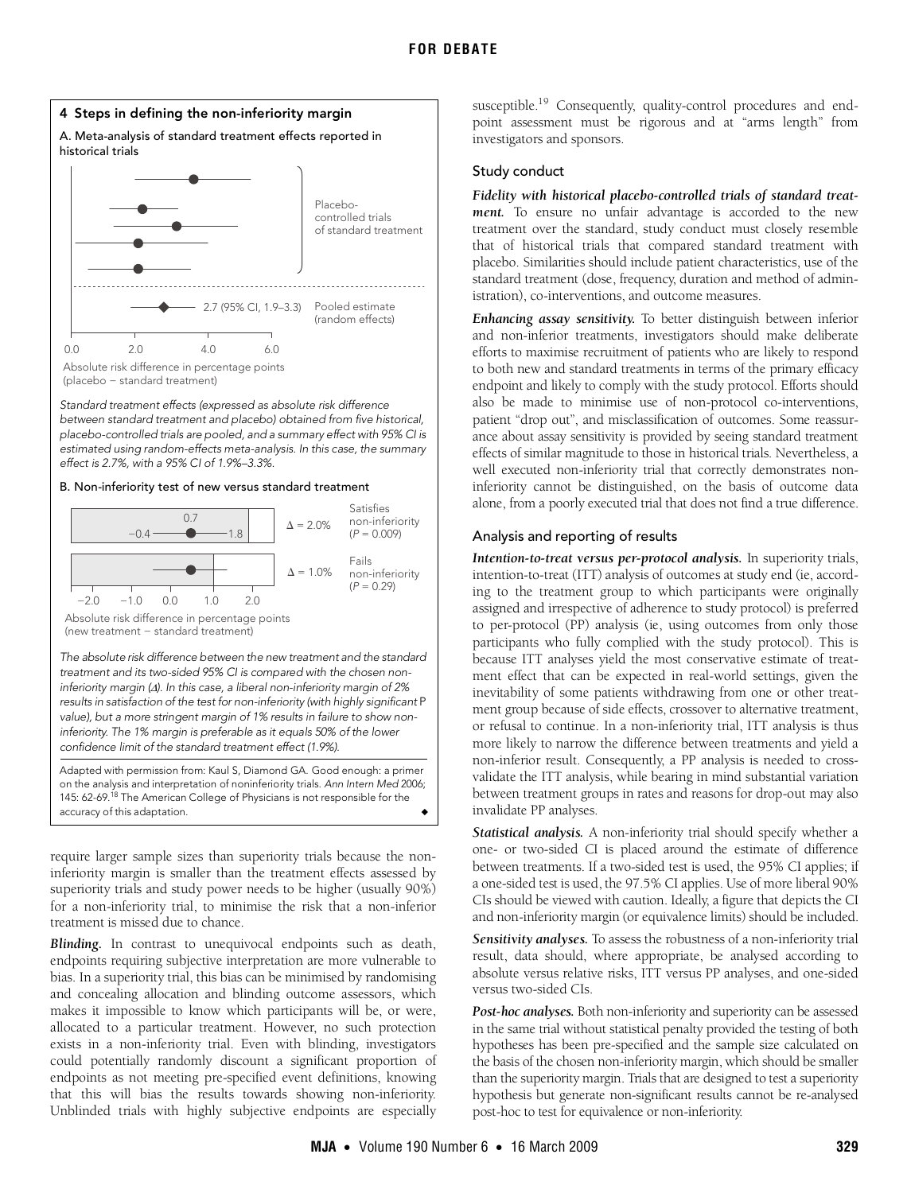

Standard treatment effects (expressed as absolute risk difference between standard treatment and placebo) obtained from five historical, placebo-controlled trials are pooled, and a summary effect with 95% CI is estimated using random-effects meta-analysis. In this case, the summary effect is 2.7%, with a 95% CI of 1.9%–3.3%.

#### B. Non-inferiority test of new versus standard treatment



The absolute risk difference between the new treatment and the standard treatment and its two-sided 95% CI is compared with the chosen noninferiority margin (Δ). In this case, a liberal non-inferiority margin of 2% results in satisfaction of the test for non-inferiority (with highly significant P value), but a more stringent margin of 1% results in failure to show noninferiority. The 1% margin is preferable as it equals 50% of the lower confidence limit of the standard treatment effect (1.9%).

Adapted with permission from: Kaul S, Diamond GA. Good enough: a primer on the analysis and interpretation of noninferiority trials. Ann Intern Med 2006; 145: 62-69.<sup>18</sup> The American College of Physicians is not responsible for the accuracy of this adaptation.

require larger sample sizes than superiority trials because the noninferiority margin is smaller than the treatment effects assessed by superiority trials and study power needs to be higher (usually 90%) for a non-inferiority trial, to minimise the risk that a non-inferior treatment is missed due to chance.

*Blinding.* In contrast to unequivocal endpoints such as death, endpoints requiring subjective interpretation are more vulnerable to bias. In a superiority trial, this bias can be minimised by randomising and concealing allocation and blinding outcome assessors, which makes it impossible to know which participants will be, or were, allocated to a particular treatment. However, no such protection exists in a non-inferiority trial. Even with blinding, investigators could potentially randomly discount a significant proportion of endpoints as not meeting pre-specified event definitions, knowing that this will bias the results towards showing non-inferiority. Unblinded trials with highly subjective endpoints are especially

susceptible.<sup>19</sup> Consequently, quality-control procedures and endpoint assessment must be rigorous and at "arms length" from investigators and sponsors.

# Study conduct

*Fidelity with historical placebo-controlled trials of standard treatment.* To ensure no unfair advantage is accorded to the new treatment over the standard, study conduct must closely resemble that of historical trials that compared standard treatment with placebo. Similarities should include patient characteristics, use of the standard treatment (dose, frequency, duration and method of administration), co-interventions, and outcome measures.

*Enhancing assay sensitivity.* To better distinguish between inferior and non-inferior treatments, investigators should make deliberate efforts to maximise recruitment of patients who are likely to respond to both new and standard treatments in terms of the primary efficacy endpoint and likely to comply with the study protocol. Efforts should also be made to minimise use of non-protocol co-interventions, patient "drop out", and misclassification of outcomes. Some reassurance about assay sensitivity is provided by seeing standard treatment effects of similar magnitude to those in historical trials. Nevertheless, a well executed non-inferiority trial that correctly demonstrates noninferiority cannot be distinguished, on the basis of outcome data alone, from a poorly executed trial that does not find a true difference.

## Analysis and reporting of results

*Intention-to-treat versus per-protocol analysis.* In superiority trials, intention-to-treat (ITT) analysis of outcomes at study end (ie, according to the treatment group to which participants were originally assigned and irrespective of adherence to study protocol) is preferred to per-protocol (PP) analysis (ie, using outcomes from only those participants who fully complied with the study protocol). This is because ITT analyses yield the most conservative estimate of treatment effect that can be expected in real-world settings, given the inevitability of some patients withdrawing from one or other treatment group because of side effects, crossover to alternative treatment, or refusal to continue. In a non-inferiority trial, ITT analysis is thus more likely to narrow the difference between treatments and yield a non-inferior result. Consequently, a PP analysis is needed to crossvalidate the ITT analysis, while bearing in mind substantial variation between treatment groups in rates and reasons for drop-out may also invalidate PP analyses.

*Statistical analysis.* A non-inferiority trial should specify whether a one- or two-sided CI is placed around the estimate of difference between treatments. If a two-sided test is used, the 95% CI applies; if a one-sided test is used, the 97.5% CI applies. Use of more liberal 90% CIs should be viewed with caution. Ideally, a figure that depicts the CI and non-inferiority margin (or equivalence limits) should be included.

*Sensitivity analyses.* To assess the robustness of a non-inferiority trial result, data should, where appropriate, be analysed according to absolute versus relative risks, ITT versus PP analyses, and one-sided versus two-sided CIs.

Post-hoc analyses. Both non-inferiority and superiority can be assessed in the same trial without statistical penalty provided the testing of both hypotheses has been pre-specified and the sample size calculated on the basis of the chosen non-inferiority margin, which should be smaller than the superiority margin. Trials that are designed to test a superiority hypothesis but generate non-significant results cannot be re-analysed post-hoc to test for equivalence or non-inferiority.